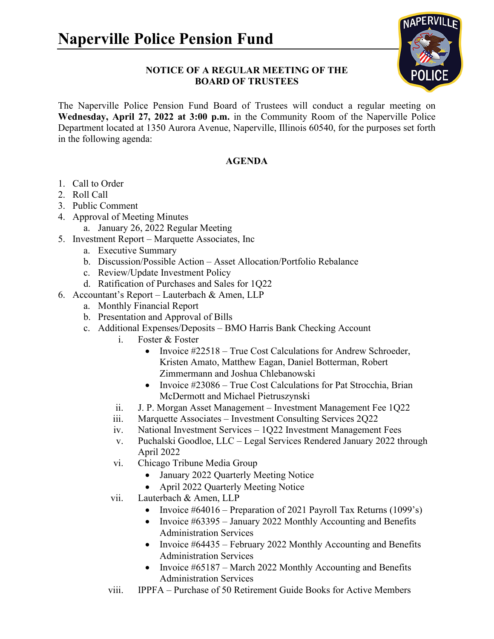

## **NOTICE OF A REGULAR MEETING OF THE BOARD OF TRUSTEES**

The Naperville Police Pension Fund Board of Trustees will conduct a regular meeting on **Wednesday, April 27, 2022 at 3:00 p.m.** in the Community Room of the Naperville Police Department located at 1350 Aurora Avenue, Naperville, Illinois 60540, for the purposes set forth in the following agenda:

## **AGENDA**

- 1. Call to Order
- 2. Roll Call
- 3. Public Comment
- 4. Approval of Meeting Minutes
	- a. January 26, 2022 Regular Meeting
- 5. Investment Report Marquette Associates, Inc
	- a. Executive Summary
	- b. Discussion/Possible Action Asset Allocation/Portfolio Rebalance
	- c. Review/Update Investment Policy
	- d. Ratification of Purchases and Sales for 1Q22
- 6. Accountant's Report Lauterbach & Amen, LLP
	- a. Monthly Financial Report
	- b. Presentation and Approval of Bills
	- c. Additional Expenses/Deposits BMO Harris Bank Checking Account
		- i. Foster & Foster
			- Invoice #22518 True Cost Calculations for Andrew Schroeder, Kristen Amato, Matthew Eagan, Daniel Botterman, Robert Zimmermann and Joshua Chlebanowski
			- Invoice #23086 True Cost Calculations for Pat Strocchia, Brian McDermott and Michael Pietruszynski
		- ii. J. P. Morgan Asset Management Investment Management Fee 1Q22
		- iii. Marquette Associates Investment Consulting Services 2Q22
		- iv. National Investment Services 1Q22 Investment Management Fees
		- v. Puchalski Goodloe, LLC Legal Services Rendered January 2022 through April 2022
		- vi. Chicago Tribune Media Group
			- January 2022 Quarterly Meeting Notice
			- April 2022 Quarterly Meeting Notice
		- vii. Lauterbach & Amen, LLP
			- Invoice #64016 Preparation of 2021 Payroll Tax Returns (1099's)
			- Invoice #63395 January 2022 Monthly Accounting and Benefits Administration Services
			- Invoice #64435 February 2022 Monthly Accounting and Benefits Administration Services
			- Invoice #65187 March 2022 Monthly Accounting and Benefits Administration Services
		- viii. IPPFA Purchase of 50 Retirement Guide Books for Active Members